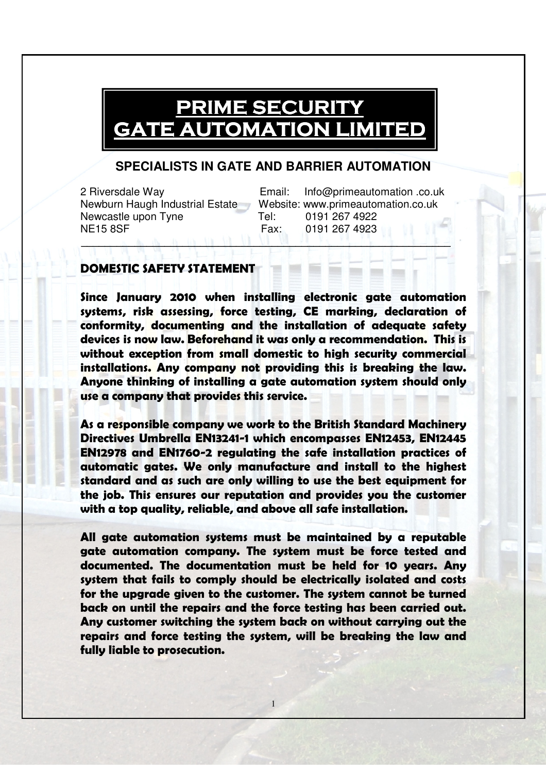## **PRIME SECURITY** GATE AUTOMATION LIMITED

## **SPECIALISTS IN GATE AND BARRIER AUTOMATION**

Newcastle upon Tyne Tel: 0191 267 4922 NE15 8SF Fax: 0191 267 4923

2 Riversdale Way Email: Info@primeautomation .co.uk Newburn Haugh Industrial Estate Website: www.primeautomation.co.uk \_\_\_\_\_\_\_\_\_\_\_\_\_\_\_\_\_\_\_\_\_\_\_\_\_\_\_\_\_\_\_\_\_\_\_\_\_\_\_\_\_\_\_\_\_\_\_\_\_\_\_\_\_\_\_\_\_\_\_\_\_\_

## DOMESTIC SAFETY STATEMENT

Since January 2010 when installing electronic gate automation systems, risk assessing, force testing, CE marking, declaration of conformity, documenting and the installation of adequate safety devices is now law. Beforehand it was only a recommendation. This is without exception from small domestic to high security commercial installations. Any company not providing this is breaking the law. Anyone thinking of installing a gate automation system should only use a company that provides this service.

As a responsible company we work to the British Standard Machinery Directives Umbrella EN13241-1 which encompasses EN12453, EN12445 EN12978 and EN1760-2 regulating the safe installation practices of automatic gates. We only manufacture and install to the highest standard and as such are only willing to use the best equipment for the job. This ensures our reputation and provides you the customer with a top quality, reliable, and above all safe installation.

All gate automation systems must be maintained by a reputable gate automation company. The system must be force tested and documented. The documentation must be held for 10 years. Any system that fails to comply should be electrically isolated and costs for the upgrade given to the customer. The system cannot be turned back on until the repairs and the force testing has been carried out. Any customer switching the system back on without carrying out the repairs and force testing the system, will be breaking the law and fully liable to prosecution.

1